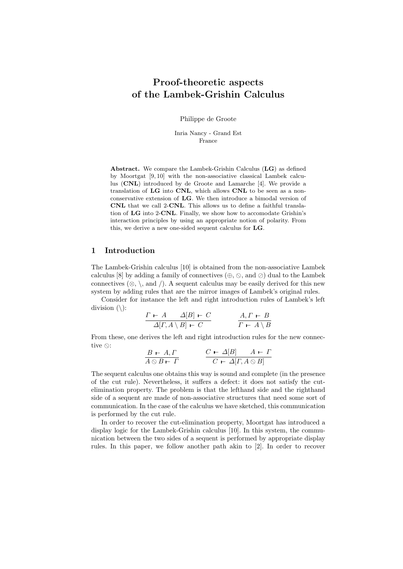# Proof-theoretic aspects of the Lambek-Grishin Calculus

Philippe de Groote

Inria Nancy - Grand Est France

Abstract. We compare the Lambek-Grishin Calculus (LG) as defined by Moortgat [9, 10] with the non-associative classical Lambek calculus (CNL) introduced by de Groote and Lamarche [4]. We provide a translation of LG into CNL, which allows CNL to be seen as a nonconservative extension of LG. We then introduce a bimodal version of CNL that we call 2-CNL. This allows us to define a faithful translation of LG into 2-CNL. Finally, we show how to accomodate Grishin's interaction principles by using an appropriate notion of polarity. From this, we derive a new one-sided sequent calculus for LG.

## 1 Introduction

The Lambek-Grishin calculus [10] is obtained from the non-associative Lambek calculus [8] by adding a family of connectives  $(\oplus, \odot, \text{ and } \oslash)$  dual to the Lambek connectives  $(\otimes, \setminus, \text{ and } \setminus)$ . A sequent calculus may be easily derived for this new system by adding rules that are the mirror images of Lambek's original rules.

Consider for instance the left and right introduction rules of Lambek's left division  $(\cdot)$ :

$$
\frac{\Gamma \vdash A \quad \Delta[B] \vdash C}{\Delta[\Gamma, A \setminus B] \vdash C} \qquad \frac{A, \Gamma \vdash B}{\Gamma \vdash A \setminus B}
$$

From these, one derives the left and right introduction rules for the new connective  $\otimes$ :

$$
\frac{B \vdash A, \Gamma}{A \otimes B \vdash \Gamma} \qquad \qquad \frac{C \vdash \Delta[B]}{C \vdash \Delta[\Gamma, A \otimes B]}
$$

The sequent calculus one obtains this way is sound and complete (in the presence of the cut rule). Nevertheless, it suffers a defect: it does not satisfy the cutelimination property. The problem is that the lefthand side and the righthand side of a sequent are made of non-associative structures that need some sort of communication. In the case of the calculus we have sketched, this communication is performed by the cut rule.

In order to recover the cut-elimination property, Moortgat has introduced a display logic for the Lambek-Grishin calculus [10]. In this system, the communication between the two sides of a sequent is performed by appropriate display rules. In this paper, we follow another path akin to [2]. In order to recover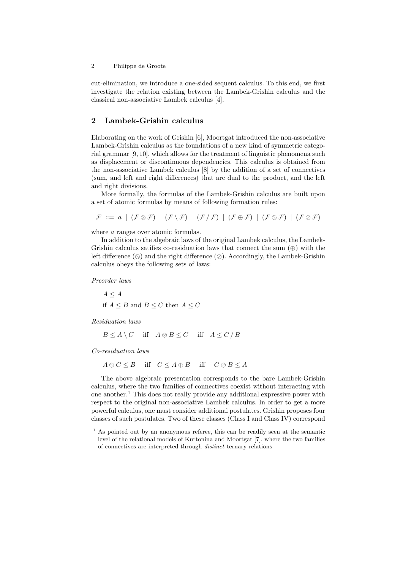cut-elimination, we introduce a one-sided sequent calculus. To this end, we first investigate the relation existing between the Lambek-Grishin calculus and the classical non-associative Lambek calculus [4].

### 2 Lambek-Grishin calculus

Elaborating on the work of Grishin [6], Moortgat introduced the non-associative Lambek-Grishin calculus as the foundations of a new kind of symmetric categorial grammar [9, 10], which allows for the treatment of linguistic phenomena such as displacement or discontinuous dependencies. This calculus is obtained from the non-associative Lambek calculus [8] by the addition of a set of connectives (sum, and left and right differences) that are dual to the product, and the left and right divisions.

More formally, the formulas of the Lambek-Grishin calculus are built upon a set of atomic formulas by means of following formation rules:

$$
\mathcal{F} ::= a \mid (\mathcal{F} \otimes \mathcal{F}) \mid (\mathcal{F} \setminus \mathcal{F}) \mid (\mathcal{F} \setminus \mathcal{F}) \mid (\mathcal{F} \oplus \mathcal{F}) \mid (\mathcal{F} \otimes \mathcal{F}) \mid (\mathcal{F} \otimes \mathcal{F})
$$

where *a* ranges over atomic formulas.

In addition to the algebraic laws of the original Lambek calculus, the Lambek-Grishin calculus satifies co-residuation laws that connect the sum  $(\oplus)$  with the left difference  $(\Diamond)$  and the right difference  $(\Diamond)$ . Accordingly, the Lambek-Grishin calculus obeys the following sets of laws:

Preorder laws

 $A \leq A$ if  $A \leq B$  and  $B \leq C$  then  $A \leq C$ 

Residuation laws

 $B \leq A \setminus C$  iff  $A \otimes B \leq C$  iff  $A \leq C / B$ 

Co-residuation laws

 $A \otimes C \leq B$  iff  $C \leq A \oplus B$  iff  $C \oslash B \leq A$ 

The above algebraic presentation corresponds to the bare Lambek-Grishin calculus, where the two families of connectives coexist without interacting with one another.<sup>1</sup> This does not really provide any additional expressive power with respect to the original non-associative Lambek calculus. In order to get a more powerful calculus, one must consider additional postulates. Grishin proposes four classes of such postulates. Two of these classes (Class I and Class IV) correspond

 $\frac{1}{1}$  As pointed out by an anonymous referee, this can be readily seen at the semantic level of the relational models of Kurtonina and Moortgat [7], where the two families of connectives are interpreted through distinct ternary relations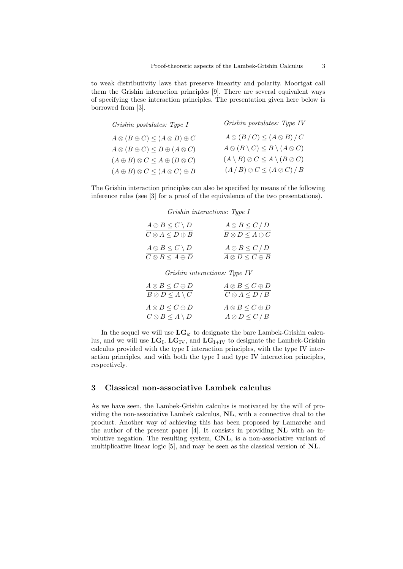to weak distributivity laws that preserve linearity and polarity. Moortgat call them the Grishin interaction principles [9]. There are several equivalent ways of specifying these interaction principles. The presentation given here below is borrowed from [3].

| Grishin postulates: Type I                           | Grishin postulates: Type IV                                |
|------------------------------------------------------|------------------------------------------------------------|
| $A \otimes (B \oplus C) \leq (A \otimes B) \oplus C$ | $A\otimes (B/C)\leq (A\otimes B)/C$                        |
| $A \otimes (B \oplus C) \leq B \oplus (A \otimes C)$ | $A \otimes (B \setminus C) \leq B \setminus (A \otimes C)$ |
| $(A \oplus B) \otimes C \leq A \oplus (B \otimes C)$ | $(A \setminus B) \oslash C \leq A \setminus (B \oslash C)$ |
| $(A \oplus B) \otimes C \leq (A \otimes C) \oplus B$ | $(A/B)\oslash C \leq (A \oslash C)/B$                      |
|                                                      |                                                            |

The Grishin interaction principles can also be specified by means of the following inference rules (see [3] for a proof of the equivalence of the two presentations).

Grishin interactions: Type I

| $A \oslash B \leq C \setminus D$ | $A \otimes B \leq C / D$      |
|----------------------------------|-------------------------------|
| $C \otimes A \leq D \oplus B$    | $B \otimes D \leq A \oplus C$ |
| $A \otimes B \leq C \setminus D$ | $A \oslash B \le C / D$       |
| $C \otimes B \leq A \oplus D$    | $A \otimes D \leq C \oplus B$ |

Grishin interactions: Type IV

| $A \otimes B \leq C \oplus D$    | $A \otimes B \leq C \oplus D$ |
|----------------------------------|-------------------------------|
| $B \oslash D \leq A \setminus C$ | $C \otimes A \leq D / B$      |
| $A \otimes B \leq C \oplus D$    | $A \otimes B \leq C \oplus D$ |
| $C \otimes B \leq A \setminus D$ | $A \oslash D \le C / B$       |

In the sequel we will use  $LG_{\varnothing}$  to designate the bare Lambek-Grishin calculus, and we will use  $LG_I$ ,  $LG_{IV}$ , and  $LG_{I+IV}$  to designate the Lambek-Grishin calculus provided with the type I interaction principles, with the type IV interaction principles, and with both the type I and type IV interaction principles, respectively.

## 3 Classical non-associative Lambek calculus

As we have seen, the Lambek-Grishin calculus is motivated by the will of providing the non-associative Lambek calculus, NL, with a connective dual to the product. Another way of achieving this has been proposed by Lamarche and the author of the present paper  $[4]$ . It consists in providing **NL** with an involutive negation. The resulting system, CNL, is a non-associative variant of multiplicative linear logic [5], and may be seen as the classical version of NL.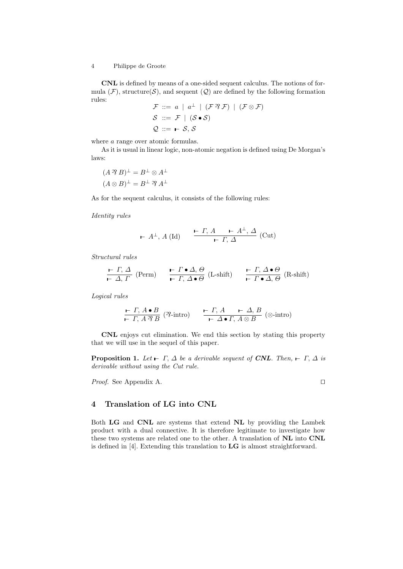CNL is defined by means of a one-sided sequent calculus. The notions of formula  $(\mathcal{F})$ , structure $(\mathcal{S})$ , and sequent  $(\mathcal{Q})$  are defined by the following formation rules:

$$
\mathcal{F} ::= a \mid a^{\perp} \mid (\mathcal{F} \mathcal{F} \mathcal{F}) \mid (\mathcal{F} \otimes \mathcal{F})
$$
  

$$
\mathcal{S} ::= \mathcal{F} \mid (\mathcal{S} \bullet \mathcal{S})
$$
  

$$
\mathcal{Q} ::= \mathbf{\vdash} \mathcal{S}, \mathcal{S}
$$

where  $a$  range over atomic formulas.

As it is usual in linear logic, non-atomic negation is defined using De Morgan's laws:

$$
(A \mathcal{B})^{\perp} = B^{\perp} \otimes A^{\perp}
$$

$$
(A \otimes B)^{\perp} = B^{\perp} \mathcal{B} A^{\perp}
$$

As for the sequent calculus, it consists of the following rules:

Identity rules

$$
\vdash A^{\perp}, A (\mathrm{Id}) \qquad \frac{\vdash \Gamma, A \qquad \vdash A^{\perp}, \Delta}{\vdash \Gamma, \Delta} (\mathrm{Cut})
$$

Structural rules

$$
\frac{\vdash \Gamma, \Delta}{\vdash \Delta, \Gamma} \text{ (Perm)} \qquad \frac{\vdash \Gamma \bullet \Delta, \Theta}{\vdash \Gamma, \Delta \bullet \Theta} \text{ (L-shift)} \qquad \frac{\vdash \Gamma, \Delta \bullet \Theta}{\vdash \Gamma \bullet \Delta, \Theta} \text{ (R-shift)}
$$

Logical rules

$$
\frac{\vdash \Gamma, A \bullet B}{\vdash \Gamma, A \mathcal{B}} \text{ (}\mathcal{B}\text{-intro)} \qquad \frac{\vdash \Gamma, A \qquad \vdash \Delta, B}{\vdash \Delta \bullet \Gamma, A \otimes B} \text{ (}\mathcal{B}\text{-intro)}
$$

CNL enjoys cut elimination. We end this section by stating this property that we will use in the sequel of this paper.

**Proposition 1.** Let  $\vdash \Gamma$ ,  $\Delta$  be a derivable sequent of **CNL**. Then,  $\vdash \Gamma$ ,  $\Delta$  is derivable without using the Cut rule.

*Proof.* See Appendix A.  $\Box$ 

### 4 Translation of LG into CNL

Both LG and CNL are systems that extend NL by providing the Lambek product with a dual connective. It is therefore legitimate to investigate how these two systems are related one to the other. A translation of NL into CNL is defined in [4]. Extending this translation to LG is almost straightforward.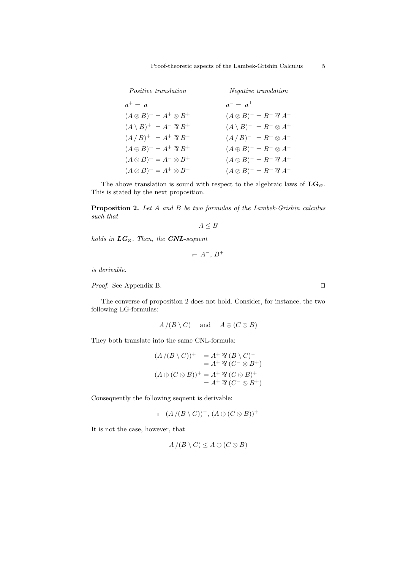| <i>Positive translation</i>                  | <i>Negative translation</i>                   |
|----------------------------------------------|-----------------------------------------------|
| $a^+ = a$                                    | $a^- = a^{\perp}$                             |
| $(A \otimes B)^{+} = A^{+} \otimes B^{+}$    | $(A \otimes B)^{-} = B^{-} \mathcal{A}^{-}$   |
| $(A \setminus B)^+ = A^- \mathcal{B} B^+$    | $(A \setminus B)^- = B^- \otimes A^+$         |
| $(A/B)^{+} = A^{+} \mathcal{B} B^{-}$        | $(A/B)^{-} = B^{+} \otimes A^{-}$             |
| $(A \oplus B)^{+} = A^{+} \mathcal{B} B^{+}$ | $(A \oplus B)^{-} = B^{-} \otimes A^{-}$      |
| $(A \otimes B)^+ = A^- \otimes B^+$          | $(A \otimes B)^{-} = B^{-} \mathcal{R} A^{+}$ |
| $(A \oslash B)^{+} = A^{+} \otimes B^{-}$    | $(A \oslash B)^{-} = B^{+} \mathcal{B} A^{-}$ |
|                                              |                                               |

The above translation is sound with respect to the algebraic laws of  $LG_{\varnothing}$ . This is stated by the next proposition.

Proposition 2. Let A and B be two formulas of the Lambek-Grishin calculus such that

 $A \leq B$ 

holds in  $\boldsymbol{LG}_{\varnothing}$  . Then, the  $\boldsymbol{CNL\text{-}sequent}$ 

 $- A^-$ ,  $B^+$ 

is derivable.

*Proof.* See Appendix B.  $\Box$ 

The converse of proposition 2 does not hold. Consider, for instance, the two following LG-formulas:

$$
A/(B \setminus C)
$$
 and  $A \oplus (C \otimes B)$ 

They both translate into the same CNL-formula:

$$
(A/(B \setminus C))^+ = A^+ \mathfrak{B} (B \setminus C)^-
$$
  
=  $A^+ \mathfrak{B} (C^- \otimes B^+)$   

$$
(A \oplus (C \otimes B))^+ = A^+ \mathfrak{B} (C \otimes B)^+
$$
  
=  $A^+ \mathfrak{B} (C^- \otimes B^+)$ 

Consequently the following sequent is derivable:

$$
\vdash (A/(B \setminus C))^- , (A \oplus (C \otimes B))^+
$$

It is not the case, however, that

$$
A / (B \setminus C) \le A \oplus (C \otimes B)
$$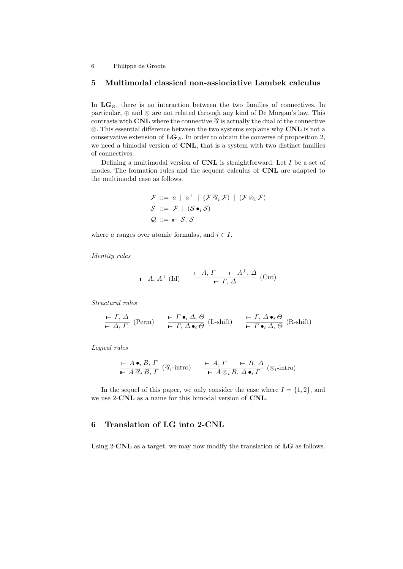### 5 Multimodal classical non-assiociative Lambek calculus

In  $LG_{\emptyset}$ , there is no interaction between the two families of connectives. In particular, ⊕ and ⊗ are not related through any kind of De Morgan's law. This contrasts with CNL where the connective  $\mathcal{C}$  is actually the dual of the connective ⊗. This essential difference between the two systems explains why CNL is not a conservative extension of  $LG_{\emptyset}$ . In order to obtain the converse of proposition 2, we need a bimodal version of **CNL**, that is a system with two distinct families of connectives.

Defining a multimodal version of  $CNL$  is straightforward. Let I be a set of modes. The formation rules and the sequent calculus of CNL are adapted to the multimodal case as follows.

$$
\mathcal{F} ::= a | a^{\perp} | (\mathcal{F} \mathfrak{N}_i \mathcal{F}) | (\mathcal{F} \otimes_i \mathcal{F})
$$
  

$$
\mathcal{S} ::= \mathcal{F} | (\mathcal{S} \bullet_i \mathcal{S})
$$
  

$$
\mathcal{Q} ::= \mathbf{\vdash} \mathcal{S}, \mathcal{S}
$$

where a ranges over atomic formulas, and  $i \in I$ .

Identity rules

$$
\vdash A, A^{\perp} (\text{Id}) \qquad \xrightarrow{\vdash A, \Gamma} \qquad \vdash A^{\perp}, \Delta \text{ (Cut)}
$$

Structural rules

$$
\frac{\vdash \Gamma, \Delta}{\vdash \Delta, \Gamma} \text{ (Perm)} \qquad \frac{\vdash \Gamma \bullet_i \Delta, \Theta}{\vdash \Gamma, \Delta \bullet_i \Theta} \text{ (L-shift)} \qquad \frac{\vdash \Gamma, \Delta \bullet_i \Theta}{\vdash \Gamma \bullet_i \Delta, \Theta} \text{ (R-shift)}
$$

Logical rules

$$
\frac{\vdash A \bullet_i B, \Gamma}{\vdash A \, \mathfrak{A}_i B, \Gamma} \; (\mathfrak{A}_i\text{-intro}) \qquad \frac{\vdash A, \Gamma \qquad \vdash B, \Delta}{\vdash A \otimes_i B, \Delta \bullet_i \Gamma} \; (\otimes_i\text{-intro})
$$

In the sequel of this paper, we only consider the case where  $I = \{1, 2\}$ , and we use 2-CNL as a name for this bimodal version of CNL.

## 6 Translation of LG into 2-CNL

Using 2-CNL as a target, we may now modify the translation of LG as follows.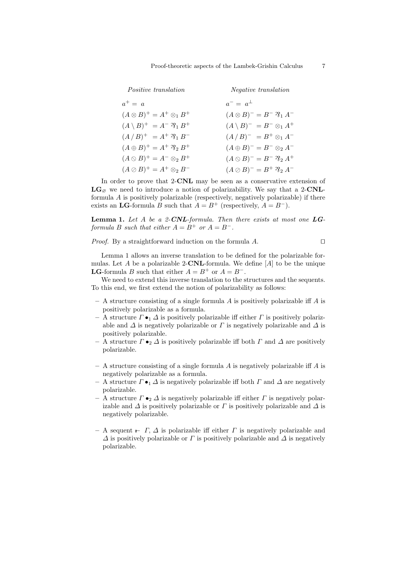| Negative translation                               |
|----------------------------------------------------|
| $a^- = a^{\perp}$                                  |
| $(A \otimes B)^{-} = B^{-} \mathfrak{D}_{1} A^{-}$ |
| $(A \setminus B)^- = B^- \otimes_1 A^+$            |
| $(A/B)^{-} = B^{+} \otimes_{1} A^{-}$              |
| $(A \oplus B)^{-} = B^{-} \otimes_2 A^{-}$         |
| $(A \otimes B)^{-} = B^{-} \mathfrak{D}_{2} A^{+}$ |
| $(A \oslash B)^{-} = B^{+} \mathcal{R}_{2} A^{-}$  |
|                                                    |

In order to prove that 2-CNL may be seen as a conservative extension of  $LG_{\alpha}$  we need to introduce a notion of polarizability. We say that a 2-CNLformula  $A$  is positively polarizable (respectively, negatively polarizable) if there exists an LG-formula B such that  $A = B^+$  (respectively,  $A = B^-$ ).

**Lemma 1.** Let A be a 2-CNL-formula. Then there exists at most one  $LG$ formula B such that either  $A = B^+$  or  $A = B^-$ .

*Proof.* By a straightforward induction on the formula  $A$ .

Lemma 1 allows an inverse translation to be defined for the polarizable formulas. Let A be a polarizable 2-CNL-formula. We define  $[A]$  to be the unique **LG**-formula B such that either  $A = B^+$  or  $A = B^-$ .

We need to extend this inverse translation to the structures and the sequents. To this end, we first extend the notion of polarizability as follows:

- A structure consisting of a single formula A is positively polarizable iff A is positively polarizable as a formula.
- A structure  $\Gamma \bullet_1 \Delta$  is positively polarizable iff either  $\Gamma$  is positively polarizable and  $\Delta$  is negatively polarizable or  $\Gamma$  is negatively polarizable and  $\Delta$  is positively polarizable.
- A structure Γ •<sup>2</sup> ∆ is positively polarizable iff both Γ and ∆ are positively polarizable.
- $-$  A structure consisting of a single formula A is negatively polarizable iff A is negatively polarizable as a formula.
- A structure Γ •<sup>1</sup> ∆ is negatively polarizable iff both Γ and ∆ are negatively polarizable.
- A structure  $\Gamma \bullet_2 \Delta$  is negatively polarizable iff either  $\Gamma$  is negatively polarizable and  $\Delta$  is positively polarizable or  $\Gamma$  is positively polarizable and  $\Delta$  is negatively polarizable.
- $A$  sequent −  $\Gamma$ ,  $\Delta$  is polarizable iff either  $\Gamma$  is negatively polarizable and  $\Delta$  is positively polarizable or  $\Gamma$  is positively polarizable and  $\Delta$  is negatively polarizable.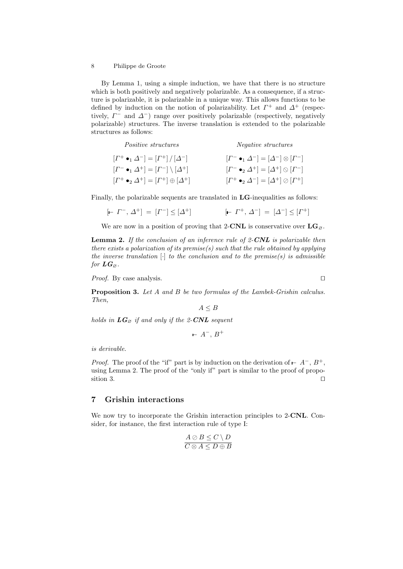By Lemma 1, using a simple induction, we have that there is no structure which is both positively and negatively polarizable. As a consequence, if a structure is polarizable, it is polarizable in a unique way. This allows functions to be defined by induction on the notion of polarizability. Let  $\Gamma^+$  and  $\Delta^+$  (respectively,  $\Gamma^-$  and  $\Delta^-$ ) range over positively polarizable (respectively, negatively polarizable) structures. The inverse translation is extended to the polarizable structures as follows:

| <i>Positive structures</i>                                        | <i>Negative structures</i>                                              |
|-------------------------------------------------------------------|-------------------------------------------------------------------------|
| $[I^+ \bullet_1 \Delta^-] = [I^+] / [\Delta^-]$                   | $[\Gamma^- \bullet_1 \Delta^-] = [\Delta^-] \otimes [\Gamma^-]$         |
| $[\Gamma^- \bullet_1 \Delta^+] = [\Gamma^-] \setminus [\Delta^+]$ | $[\Gamma^{-} \bullet_2 \Delta^{+}] = [\Delta^{+}] \otimes [\Gamma^{-}]$ |
| $[\Gamma^+\bullet_2\Delta^+] = [\Gamma^+] \oplus [\Delta^+]$      | $[\Gamma^+ \bullet_2 \Delta^-] = [\Delta^+] \otimes [\Gamma^+]$         |

Finally, the polarizable sequents are translated in **LG**-inequalities as follows:

$$
[- \Gamma^{-}, \Delta^{+}] = [\Gamma^{-}] \leq [\Delta^{+}]
$$
  $[- \Gamma^{+}, \Delta^{-}] = [\Delta^{-}] \leq [\Gamma^{+}]$ 

We are now in a position of proving that 2-CNL is conservative over  $LG_{\varnothing}$ .

**Lemma 2.** If the conclusion of an inference rule of  $2$ -CNL is polarizable then there exists a polarization of its premise(s) such that the rule obtained by applying the inverse translation  $[\cdot]$  to the conclusion and to the premise(s) is admissible for  $LG_{\varnothing}$ .

*Proof.* By case analysis.  $\Box$ 

Proposition 3. Let A and B be two formulas of the Lambek-Grishin calculus. Then,

 $A \leq B$ 

holds in  $LG_{\varnothing}$  if and only if the 2-CNL sequent

$$
\vdash A^{-}, B^{+}
$$

is derivable.

*Proof.* The proof of the "if" part is by induction on the derivation of  $\vdash A^-$ ,  $B^+$ , using Lemma 2. The proof of the "only if" part is similar to the proof of proposition 3.

## 7 Grishin interactions

We now try to incorporate the Grishin interaction principles to 2-CNL. Consider, for instance, the first interaction rule of type I:

$$
\frac{A \oslash B \le C \setminus D}{C \otimes A \le D \oplus B}
$$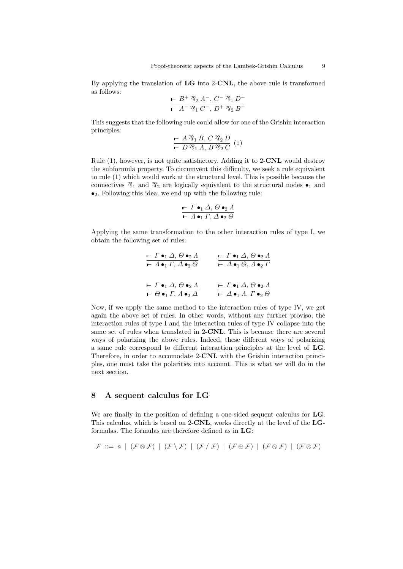By applying the translation of LG into 2-CNL, the above rule is transformed as follows:

$$
\frac{\mathsf{L} \ B^{+} \ \mathfrak{D}_{2} \ A^{-}, \ C^{-} \ \mathfrak{D}_{1} \ D^{+}}{\mathsf{L} \ A^{-} \ \mathfrak{D}_{1} \ C^{-}, \ D^{+} \ \mathfrak{D}_{2} \ B^{+}}
$$

This suggests that the following rule could allow for one of the Grishin interaction principles:

$$
\vdash A \mathop{\mathcal{R}}\limits_{\vdash} B, C \mathop{\mathcal{R}}\limits_{2} D \quad (1)
$$

Rule (1), however, is not quite satisfactory. Adding it to 2-CNL would destroy the subformula property. To circumvent this difficulty, we seek a rule equivalent to rule (1) which would work at the structural level. This is possible because the connectives  $\mathcal{R}_1$  and  $\mathcal{R}_2$  are logically equivalent to the structural nodes  $\bullet_1$  and  $\bullet_2$ . Following this idea, we end up with the following rule:

$$
\frac{\vdash \Gamma \bullet_1 \Delta, \Theta \bullet_2 \Lambda}{\vdash \Lambda \bullet_1 \Gamma, \Delta \bullet_2 \Theta}
$$

Applying the same transformation to the other interaction rules of type I, we obtain the following set of rules:

$$
\frac{\mathbf{F} \cdot \Gamma \bullet_1 \Delta, \Theta \bullet_2 \Lambda}{\mathbf{F} \cdot \Lambda \bullet_1 \Gamma, \Delta \bullet_2 \Theta} \qquad \frac{\mathbf{F} \cdot \Gamma \bullet_1 \Delta, \Theta \bullet_2 \Lambda}{\mathbf{F} \cdot \Delta \bullet_1 \Theta, \Lambda \bullet_2 \Gamma}
$$
\n
$$
\frac{\mathbf{F} \cdot \Gamma \bullet_1 \Delta, \Theta \bullet_2 \Lambda}{\mathbf{F} \cdot \Theta \bullet_1 \Gamma, \Lambda \bullet_2 \Delta} \qquad \frac{\mathbf{F} \cdot \Gamma \bullet_1 \Delta, \Theta \bullet_2 \Lambda}{\mathbf{F} \cdot \Delta \bullet_1 \Lambda, \Gamma \bullet_2 \Theta}
$$

Now, if we apply the same method to the interaction rules of type IV, we get again the above set of rules. In other words, without any further proviso, the interaction rules of type I and the interaction rules of type IV collapse into the same set of rules when translated in 2-CNL. This is because there are several ways of polarizing the above rules. Indeed, these different ways of polarizing a same rule correspond to different interaction principles at the level of LG. Therefore, in order to accomodate 2-CNL with the Grishin interaction principles, one must take the polarities into account. This is what we will do in the next section.

### 8 A sequent calculus for LG

We are finally in the position of defining a one-sided sequent calculus for **LG**. This calculus, which is based on 2-CNL, works directly at the level of the LGformulas. The formulas are therefore defined as in LG:

$$
\mathcal{F} ::= a \mid (\mathcal{F} \otimes \mathcal{F}) \mid (\mathcal{F} \setminus \mathcal{F}) \mid (\mathcal{F} \setminus \mathcal{F}) \mid (\mathcal{F} \oplus \mathcal{F}) \mid (\mathcal{F} \otimes \mathcal{F}) \mid (\mathcal{F} \otimes \mathcal{F})
$$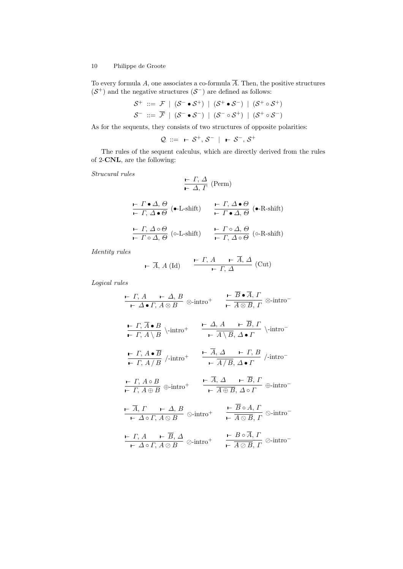To every formula  $A$ , one associates a co-formula  $\overline{A}$ . Then, the positive structures  $(S^+)$  and the negative structures  $(S^-)$  are defined as follows:

$$
\begin{aligned} \mathcal{S}^+ &::= \mathcal{F} \mid (\mathcal{S}^- \bullet \mathcal{S}^+) \mid (\mathcal{S}^+ \bullet \mathcal{S}^-) \mid (\mathcal{S}^+ \circ \mathcal{S}^+) \\ \mathcal{S}^- &::= \overline{\mathcal{F}} \mid (\mathcal{S}^- \bullet \mathcal{S}^-) \mid (\mathcal{S}^- \circ \mathcal{S}^+) \mid (\mathcal{S}^+ \circ \mathcal{S}^-) \end{aligned}
$$

As for the sequents, they consists of two structures of opposite polarities:

$$
\mathcal{Q} ::= -\mathcal{S}^+, \mathcal{S}^- \mid -\mathcal{S}^-, \mathcal{S}^+
$$

The rules of the sequent calculus, which are directly derived from the rules of 2-CNL, are the following:

Strucural rules

$$
\frac{\mathsf{P} \cdot \Gamma, \Delta}{\mathsf{P} \cdot \Delta, \Gamma} \text{ (Perm)}
$$
\n
$$
\frac{\mathsf{P} \cdot \Gamma \bullet \Delta, \Theta}{\mathsf{P} \cdot \Gamma, \Delta \bullet \Theta} \text{ ( $\bullet$ -L-shift) \qquad \frac{\mathsf{P} \cdot \Gamma, \Delta \bullet \Theta}{\mathsf{P} \cdot \Gamma \bullet \Delta, \Theta} \text{ ( $\bullet$ -R-shift) \n
$$
\frac{\mathsf{P} \cdot \Gamma, \Delta \circ \Theta}{\mathsf{P} \cdot \Gamma \circ \Delta, \Theta} \text{ (o-L-shift) \qquad \frac{\mathsf{P} \cdot \Gamma \circ \Delta, \Theta}{\mathsf{P} \cdot \Gamma, \Delta \circ \Theta} \text{ (o-R-shift)}
$$
$$

Identity rules

$$
\vdash \overline{A}, A \text{ (Id)} \qquad \frac{\vdash \Gamma, A \qquad \vdash A, \Delta}{\vdash \Gamma, \Delta} \text{ (Cut)}
$$

Logical rules

$$
\frac{\n- \Gamma, A \quad - \Delta, B}{\n- \Delta \bullet \Gamma, A \otimes B} \otimes \text{-intro}^+ \quad \frac{\n- \overline{B} \bullet \overline{A}, \Gamma}{\n- \overline{A \otimes B}, \Gamma} \otimes \text{-intro}^-
$$
\n
$$
\frac{\n- \Gamma, \overline{A} \bullet B}{\n- \Gamma, A \setminus B} \setminus \text{-intro}^+ \quad \frac{\n- \Delta, A \quad - \overline{B}, \Gamma}{\n- \overline{A \setminus B}, \Delta \bullet \Gamma} \setminus \text{-intro}^-
$$
\n
$$
\frac{\n- \Gamma, A \bullet \overline{B}}{\n- \Gamma, A/B} / \text{-intro}^+ \quad \frac{\n- \overline{A}, \Delta \quad - \Gamma, B}{\n- \overline{A/B}, \Delta \bullet \Gamma} / \text{-intro}^-
$$
\n
$$
\frac{\n- \Gamma, A \circ B}{\n- \Gamma, A \oplus B} \oplus \text{-intro}^+ \quad \frac{\n- \overline{A}, \Delta \quad - \overline{B}, \Gamma}{\n- \overline{A \oplus B}, \Delta \circ \Gamma} \oplus \text{-intro}^-
$$
\n
$$
\frac{\n- \overline{A}, \Gamma \quad - \Delta, B}{\n- \Delta \circ \Gamma, A \otimes B} \otimes \text{-intro}^+ \quad \frac{\n- \overline{B} \circ A, \Gamma}{\n- \overline{A \otimes B}, \Gamma} \otimes \text{-intro}^-
$$
\n
$$
\frac{\n- \Gamma, A \quad - \overline{B}, \Delta}{\n- \Delta \circ \Gamma, A \otimes B} \otimes \text{-intro}^+ \quad \frac{\n- \overline{B} \circ \overline{A}, \Gamma}{\n- \overline{A \otimes B}, \Gamma} \otimes \text{-intro}^-
$$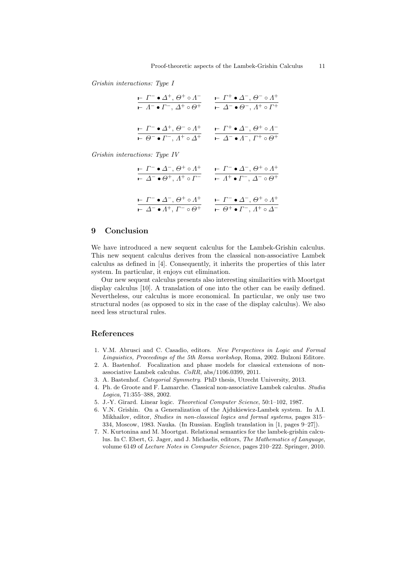Grishin interactions: Type I

| $\vdash \Gamma^- \bullet \varDelta^+$ , $\Theta^+ \circ \varLambda^-$ | $\vdash \Gamma^+ \bullet \Delta^-, \Theta^- \circ \Lambda^+$ |
|-----------------------------------------------------------------------|--------------------------------------------------------------|
| $\vdash$ $\Lambda^- \bullet \Gamma^-$ , $\Delta^+ \circ \Theta^+$     | $\vdash \Delta^- \bullet \Theta^-, \Lambda^+ \circ \Gamma^+$ |
| $\vdash \Gamma^- \bullet \Delta^+, \Theta^- \circ \Lambda^+$          | $\vdash \Gamma^+ \bullet \Delta^-, \Theta^+ \circ \Lambda^-$ |
| $\vdash \Theta^- \bullet \Gamma^-, \Lambda^+ \circ \Delta^+$          | $\vdash \Delta^- \bullet \Lambda^-, \Gamma^+ \circ \Theta^+$ |

Grishin interactions: Type IV

| $\vdash\varGamma^-\bullet\varDelta^-,\,\Theta^+\circ\varLambda^+$       | $\vdash \Gamma^- \bullet \Delta^-, \Theta^+ \circ \Lambda^+$             |
|-------------------------------------------------------------------------|--------------------------------------------------------------------------|
| $\vdash \Delta^- \bullet \Theta^+, \Lambda^+ \circ \Gamma^-$            | $\vdash$ $\Lambda^+ \bullet \Gamma^-$ , $\Delta^- \circ \Theta^+$        |
| $\vdash \varGamma^-\bullet \varDelta^-, \varTheta^+ \circ \varLambda^+$ | $\vdash \varGamma^- \bullet \varDelta^-, \varTheta^+ \circ \varLambda^+$ |
| $\vdash \Delta^- \bullet A^+, I^- \circ \Theta^+$                       | $\vdash \Theta^+ \bullet \Gamma^-, \Lambda^+ \circ \Delta^-$             |

## 9 Conclusion

We have introduced a new sequent calculus for the Lambek-Grishin calculus. This new sequent calculus derives from the classical non-associative Lambek calculus as defined in [4]. Consequently, it inherits the properties of this later system. In particular, it enjoys cut elimination.

Our new sequent calculus presents also interesting similarities with Moortgat display calculus [10]. A translation of one into the other can be easily defined. Nevertheless, our calculus is more economical. In particular, we only use two structural nodes (as opposed to six in the case of the display calculus). We also need less structural rules.

#### References

- 1. V.M. Abrusci and C. Casadio, editors. New Perspectives in Logic and Formal Linguistics, Proceedings of the 5th Roma workshop, Roma, 2002. Bulzoni Editore.
- 2. A. Bastenhof. Focalization and phase models for classical extensions of nonassociative Lambek calculus. CoRR, abs/1106.0399, 2011.
- 3. A. Bastenhof. Categorial Symmetry. PhD thesis, Utrecht University, 2013.
- 4. Ph. de Groote and F. Lamarche. Classical non-associative Lambek calculus. Studia Logica, 71:355–388, 2002.
- 5. J.-Y. Girard. Linear logic. Theoretical Computer Science, 50:1–102, 1987.
- 6. V.N. Grishin. On a Generalization of the Ajdukiewicz-Lambek system. In A.I. Mikhailov, editor, Studies in non-classical logics and formal systems, pages 315– 334, Moscow, 1983. Nauka. (In Russian. English translation in [1, pages 9–27]).
- 7. N. Kurtonina and M. Moortgat. Relational semantics for the lambek-grishin calculus. In C. Ebert, G. Jager, and J. Michaelis, editors, The Mathematics of Language, volume 6149 of Lecture Notes in Computer Science, pages 210–222. Springer, 2010.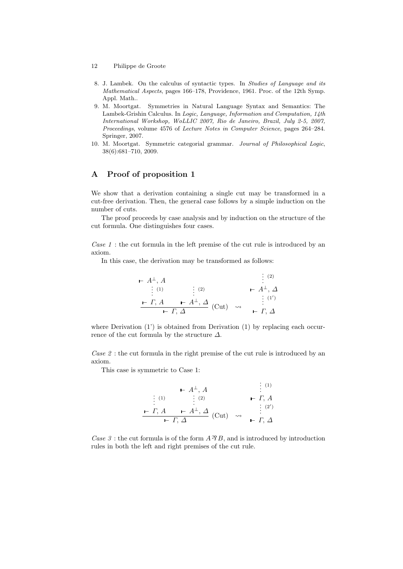- 12 Philippe de Groote
- 8. J. Lambek. On the calculus of syntactic types. In Studies of Language and its Mathematical Aspects, pages 166–178, Providence, 1961. Proc. of the 12th Symp. Appl. Math..
- 9. M. Moortgat. Symmetries in Natural Language Syntax and Semantics: The Lambek-Grishin Calculus. In Logic, Language, Information and Computation, 14th International Workshop, WoLLIC 2007, Rio de Janeiro, Brazil, July 2-5, 2007, Proceedings, volume 4576 of Lecture Notes in Computer Science, pages 264–284. Springer, 2007.
- 10. M. Moortgat. Symmetric categorial grammar. Journal of Philosophical Logic, 38(6):681–710, 2009.

## A Proof of proposition 1

We show that a derivation containing a single cut may be transformed in a cut-free derivation. Then, the general case follows by a simple induction on the number of cuts.

The proof proceeds by case analysis and by induction on the structure of the cut formula. One distinguishes four cases.

Case 1 : the cut formula in the left premise of the cut rule is introduced by an axiom.

In this case, the derivation may be transformed as follows:

$$
\begin{array}{ccc}\n\mathsf{H} & A & \vdots & (2) \\
\vdots & (1) & \vdots & (2) \\
\mathsf{H} & \mathsf{H} & \mathsf{H} \\
\hline\n\mathsf{H} & A & \mathsf{H} \\
\hline\n\mathsf{H} & \mathsf{H} & \mathsf{H} \\
\hline\n\mathsf{H} & \mathsf{H} & \mathsf{H}\n\end{array}
$$
\n
$$
\begin{array}{ccc}\n\mathsf{H} & \mathsf{H} & (2) \\
\mathsf{H} & \mathsf{H} & \mathsf{H} \\
\hline\n\mathsf{H} & \mathsf{H} & \mathsf{H}\n\end{array}
$$

where Derivation  $(1')$  is obtained from Derivation  $(1)$  by replacing each occurrence of the cut formula by the structure  $\Delta$ .

Case 2 : the cut formula in the right premise of the cut rule is introduced by an axiom.

This case is symmetric to Case 1:

$$
\begin{array}{ccc}\n & \vdash A^{\perp}, A & \vdots & ^{(1)} \\
\vdots & ^{(1)} & \vdots & ^{(2)} & \vdash \varGamma, A \\
\hline\n & \vdash \varGamma, A & \vdash A^{\perp}, \Delta & & & \vdots \\
 & \vdash \varGamma, \Delta & & & \vdash \varGamma, \Delta\n\end{array}
$$

Case 3 : the cut formula is of the form  $A \mathcal{B}$ , and is introduced by introduction rules in both the left and right premises of the cut rule.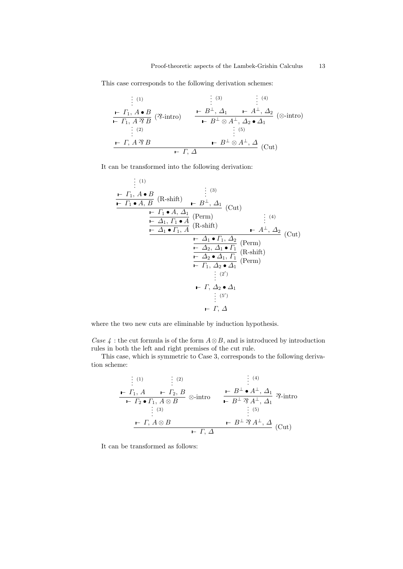This case corresponds to the following derivation schemes:

$$
\begin{array}{c}\n\vdots^{(1)} & \vdots^{(3)} & \vdots^{(4)} \\
\hline\n\mathbf{F}_{1}, A \bullet B & \mathbf{F}_{1}, \mathbf{F}_{2}, \mathbf{F}_{1}, \mathbf{F}_{2}, \mathbf{F}_{2}, \mathbf{F}_{2}, \mathbf{F}_{2}, \mathbf{F}_{2}, \mathbf{F}_{2}, \mathbf{F}_{2}, \mathbf{F}_{2}, \mathbf{F}_{2}, \mathbf{F}_{2}, \mathbf{F}_{2}, \mathbf{F}_{2}, \mathbf{F}_{2}, \mathbf{F}_{2}, \mathbf{F}_{2}, \mathbf{F}_{2}, \mathbf{F}_{2}, \mathbf{F}_{2}, \mathbf{F}_{2}, \mathbf{F}_{2}, \mathbf{F}_{2}, \mathbf{F}_{2}, \mathbf{F}_{2}, \mathbf{F}_{2}, \mathbf{F}_{2}, \mathbf{F}_{2}, \mathbf{F}_{2}, \mathbf{F}_{2}, \mathbf{F}_{2}, \mathbf{F}_{2}, \mathbf{F}_{2}, \mathbf{F}_{2}, \mathbf{F}_{2}, \mathbf{F}_{2}, \mathbf{F}_{2}, \mathbf{F}_{2}, \mathbf{F}_{2}, \mathbf{F}_{2}, \mathbf{F}_{2}, \mathbf{F}_{2}, \mathbf{F}_{2}, \mathbf{F}_{2}, \mathbf{F}_{2}, \mathbf{F}_{2}, \mathbf{F}_{2}, \mathbf{F}_{2}, \mathbf{F}_{2}, \mathbf{F}_{2}, \mathbf{F}_{2}, \mathbf{F}_{2}, \mathbf{F}_{2}, \mathbf{F}_{2}, \mathbf{F}_{2}, \mathbf{F}_{2}, \mathbf{F}_{2}, \mathbf{F}_{2}, \mathbf{F}_{2}, \mathbf{F}_{2}, \mathbf{F}_{2}, \mathbf{F}_{2}, \mathbf{F}_{2}, \mathbf{F}_{2}, \mathbf{F}_{2}, \mathbf{F}_{2}, \mathbf{F}_{2}, \mathbf{F}_{2}, \mathbf{F}_{2}, \mathbf{F}_{2}, \mathbf{F}_{2}, \mathbf{F}_{2}, \mathbf{F}_{2}, \mathbf{F}_{2}, \mathbf{F}_{2}, \mathbf{F}_{2}, \mathbf{F}_{2}, \mathbf{F}_{2}, \mathbf{F}_{2}, \mathbf{F}_{2}, \mathbf{F}_{2}, \mathbf{F}_{2}, \mathbf{F}_{2}, \mathbf{F}_{2}, \mathbf{F}_{2}, \mathbf{F}_{2}, \mathbf{F}_{2}, \mathbf{F}_{2
$$

It can be transformed into the following derivation:

$$
\begin{array}{c}\n\vdots^{(1)} \\
\hline\n\end{array}\n\begin{array}{c}\n\vdots^{(1)} \\
\hline\n\end{array}\n\begin{array}{c}\n\vdots^{(3)} \\
\hline\n\end{array}\n\begin{array}{c}\n\vdots^{(3)} \\
\hline\n\end{array}\n\end{array}\n\begin{array}{c}\n\vdots^{(3)} \\
\hline\n\end{array}\n\begin{array}{c}\n\vdots^{(3)} \\
\hline\n\end{array}\n\end{array}\n\begin{array}{c}\n\vdots^{(3)} \\
\hline\n\end{array}\n\begin{array}{c}\n\vdots^{(3)} \\
\hline\n\end{array}\n\end{array}\n\begin{array}{c}\n\vdots^{(3)} \\
\hline\n\end{array}\n\begin{array}{c}\n\vdots^{(3)} \\
\hline\n\end{array}\n\end{array}\n\begin{array}{c}\n\vdots^{(3)} \\
\hline\n\end{array}\n\begin{array}{c}\n\vdots^{(3)} \\
\hline\n\end{array}\n\end{array}\n\begin{array}{c}\n\vdots^{(4)} \\
\hline\n\end{array}\n\begin{array}{c}\n\vdots^{(4)} \\
\hline\n\end{array}\n\end{array}\n\begin{array}{c}\n\vdots^{(4)} \\
\hline\n\end{array}\n\begin{array}{c}\n\vdots^{(4)} \\
\hline\n\end{array}\n\end{array}\n\begin{array}{c}\n\vdots^{(4)} \\
\hline\n\end{array}\n\begin{array}{c}\n\vdots^{(5)} \\
\hline\n\end{array}\n\end{array}\n\begin{array}{c}\n\vdots^{(5)} \\
\hline\n\end{array}\n\end{array}
$$

where the two new cuts are eliminable by induction hypothesis.

Case  $\chi$ : the cut formula is of the form  $A \otimes B$ , and is introduced by introduction rules in both the left and right premises of the cut rule.

This case, which is symmetric to Case 3, corresponds to the following derivation scheme:

$$
\begin{array}{c}\n\vdots^{(1)} & \vdots^{(2)} & \vdots^{(4)} \\
\leftarrow \Gamma_1, A & \leftarrow \Gamma_2, B \\
\leftarrow \Gamma_2 \bullet \Gamma_1, A \otimes B & \leftarrow \text{imtr } 0 \\
\vdots^{(3)} & \vdots^{(5)} \\
\leftarrow \Gamma, A \otimes B & \leftarrow B^{\perp} \mathfrak{A}^{\perp}, \Delta_1 \\
\vdots^{(5)} & \leftarrow F, \Delta\n\end{array} \text{?-intro}
$$

It can be transformed as follows: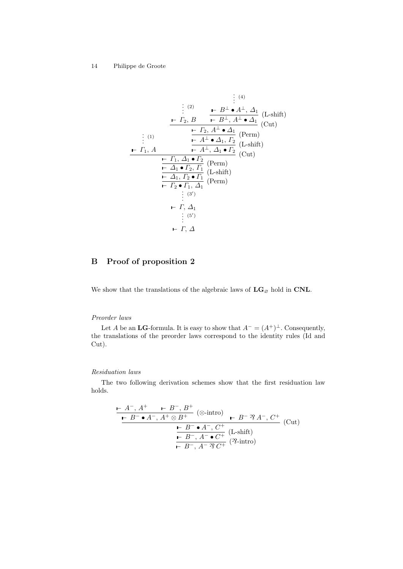$$
\begin{array}{c}\n\vdots^{(2)} & \mathbf{I} & \mathbf{B} \\
\hline\n\vdots^{(2)} & \mathbf{I} & \mathbf{B} \\
\hline\n\mathbf{I}_2, B & \mathbf{I} & \mathbf{B} \\
\hline\n\mathbf{I}_3, A^\perp \bullet \Delta_1 & \mathbf{A}_1 \\
\hline\n\mathbf{I}_2, A^\perp \bullet \Delta_1 & \mathbf{A}_2 \\
\hline\n\mathbf{I}_3, A^\perp \bullet \mathbf{A}_1 \\
\hline\n\mathbf{I}_1, A & \mathbf{I} & \mathbf{I} \\
\hline\n\mathbf{I}_2, A^\perp \bullet \mathbf{A}_1 \\
\hline\n\mathbf{I}_3, A^\perp \mathbf{I}_2 \\
\hline\n\mathbf{I}_3, A^\perp \mathbf{I}_2 \\
\hline\n\mathbf{I}_3, A^\perp \mathbf{I}_2 \\
\hline\n\mathbf{I}_3, A^\perp \mathbf{I}_2 \\
\hline\n\mathbf{I}_3, A^\perp \mathbf{I}_2 \\
\hline\n\mathbf{I}_3, A^\perp \mathbf{I}_2 \\
\hline\n\mathbf{I}_2, A^\perp \mathbf{I}_1 \\
\hline\n\mathbf{I}_2, A^\perp \mathbf{I}_1 \\
\hline\n\mathbf{I}_2, A^\perp \mathbf{I}_1 \\
\hline\n\mathbf{I}_2, A^\perp \mathbf{I}_1 \\
\hline\n\mathbf{I}_2, A^\perp \mathbf{I}_1 \\
\hline\n\mathbf{I}_2, A^\perp \mathbf{I}_1 \\
\hline\n\mathbf{I}_2, A^\perp \mathbf{I}_1 \\
\hline\n\mathbf{I}_2, A^\perp \mathbf{I}_1 \\
\hline\n\mathbf{I}_2, A^\perp \mathbf{I}_1 \\
\hline\n\mathbf{I}_2, A^\perp \mathbf{I}_1 \\
\hline\n\mathbf{I}_2, A^\perp \mathbf{I}_1 \\
\hline\n\mathbf{I}_2, A^\perp \mathbf{I}_1 \\
\hline\n\mathbf{I}_2, A^\perp \mathbf{I}_1 \\
\hline\n\mathbf{I}_2, A^\perp \mathbf{I}_1 \\
\hline\n\mathbf{I}_2, A^\perp \mathbf{I}_1 \\
\hline\n\mathbf{I}_
$$

# B Proof of proposition 2

We show that the translations of the algebraic laws of  $\mathbf{LG}_{\varnothing}$  hold in  $\mathbf{CNL}.$ 

#### Preorder laws

Let A be an LG-formula. It is easy to show that  $A^{-} = (A^{+})^{\perp}$ . Consequently, the translations of the preorder laws correspond to the identity rules (Id and Cut).

#### Residuation laws

The two following derivation schemes show that the first residuation law holds.

$$
\frac{\mathbf{F} \cdot A^{-} \cdot A^{+} \quad \mathbf{F} \cdot B^{-} \cdot B^{+}}{\mathbf{F} \cdot B^{-} \cdot A^{-} \cdot A^{+} \otimes B^{+}} \quad (\otimes \text{-intro}) \quad \mathbf{F} \cdot B^{-} \mathcal{R} \cdot A^{-} \cdot C^{+}}{\mathbf{F} \cdot B^{-} \cdot A^{-} \cdot C^{+}} \quad (\text{Cut})
$$
\n
$$
\frac{\mathbf{F} \cdot B^{-} \cdot A^{-} \cdot C^{+}}{\mathbf{F} \cdot B^{-} \cdot A^{-} \mathcal{R} \cdot C^{+}} \quad (\text{Z-sintro})
$$